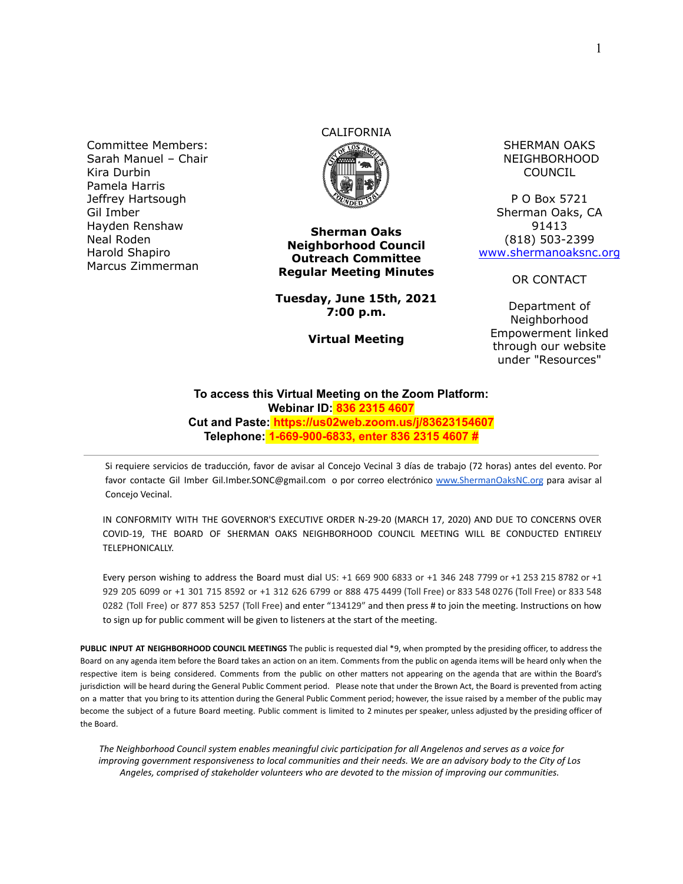Committee Members: Sarah Manuel – Chair Kira Durbin Pamela Harris Jeffrey Hartsough Gil Imber Hayden Renshaw Neal Roden Harold Shapiro Marcus Zimmerman

# CALIFORNIA



**Sherman Oaks Neighborhood Council Outreach Committee Regular Meeting Minutes**

**Tuesday, June 15th, 2021 7:00 p.m.**

**Virtual Meeting**

SHERMAN OAKS NEIGHBORHOOD COUNCIL

P O Box 5721 Sherman Oaks, CA 91413 (818) 503-2399 [www.shermanoaksnc.org](http://www.shermanoaksnc.org/)

OR CONTACT

Department of Neighborhood Empowerment linked through our website under "Resources"

#### **To access this Virtual Meeting on the Zoom Platform: Webinar ID: 836 2315 4607 Cut and Paste: https://us02web.zoom.us/j/83623154607 Telephone: 1-669-900-6833, enter 836 2315 4607 #**

Si requiere servicios de traducción, favor de avisar al Concejo Vecinal 3 días de trabajo (72 horas) antes del evento. Por favor contacte Gil Imber Gil.Imber.SONC@gmail.com o por correo electrónico [www.ShermanOaksNC.org](http://www.shermanoaksnc.org) para avisar al Concejo Vecinal.

IN CONFORMITY WITH THE GOVERNOR'S EXECUTIVE ORDER N-29-20 (MARCH 17, 2020) AND DUE TO CONCERNS OVER COVID-19, THE BOARD OF SHERMAN OAKS NEIGHBORHOOD COUNCIL MEETING WILL BE CONDUCTED ENTIRELY TELEPHONICALLY.

Every person wishing to address the Board must dial US: +1 669 900 6833 or +1 346 248 7799 or +1 253 215 8782 or +1 929 205 6099 or +1 301 715 8592 or +1 312 626 6799 or 888 475 4499 (Toll Free) or 833 548 0276 (Toll Free) or 833 548 0282 (Toll Free) or 877 853 5257 (Toll Free) and enter "134129" and then press # to join the meeting. Instructions on how to sign up for public comment will be given to listeners at the start of the meeting.

**PUBLIC INPUT AT NEIGHBORHOOD COUNCIL MEETINGS** The public is requested dial \*9, when prompted by the presiding officer, to address the Board on any agenda item before the Board takes an action on an item. Comments from the public on agenda items will be heard only when the respective item is being considered. Comments from the public on other matters not appearing on the agenda that are within the Board's jurisdiction will be heard during the General Public Comment period. Please note that under the Brown Act, the Board is prevented from acting on a matter that you bring to its attention during the General Public Comment period; however, the issue raised by a member of the public may become the subject of a future Board meeting. Public comment is limited to 2 minutes per speaker, unless adjusted by the presiding officer of the Board.

*The Neighborhood Council system enables meaningful civic participation for all Angelenos and serves as a voice for improving government responsiveness to local communities and their needs. We are an advisory body to the City of Los Angeles, comprised of stakeholder volunteers who are devoted to the mission of improving our communities.*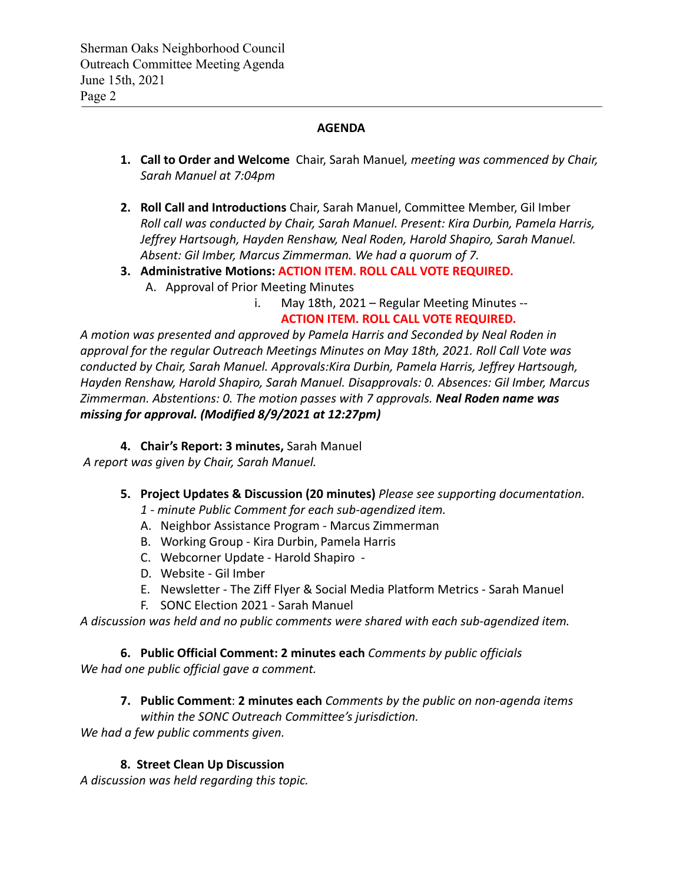### **AGENDA**

- **1. Call to Order and Welcome** Chair, Sarah Manuel*, meeting was commenced by Chair, Sarah Manuel at 7:04pm*
- **2. Roll Call and Introductions** Chair, Sarah Manuel, Committee Member, Gil Imber *Roll call was conducted by Chair, Sarah Manuel. Present: Kira Durbin, Pamela Harris, Jeffrey Hartsough, Hayden Renshaw, Neal Roden, Harold Shapiro, Sarah Manuel. Absent: Gil Imber, Marcus Zimmerman. We had a quorum of 7.*
- **3. Administrative Motions: ACTION ITEM. ROLL CALL VOTE REQUIRED.** A. Approval of Prior Meeting Minutes
	- i. May 18th, 2021 Regular Meeting Minutes --

**ACTION ITEM. ROLL CALL VOTE REQUIRED.**

*A motion was presented and approved by Pamela Harris and Seconded by Neal Roden in approval for the regular Outreach Meetings Minutes on May 18th, 2021. Roll Call Vote was conducted by Chair, Sarah Manuel. Approvals:Kira Durbin, Pamela Harris, Jeffrey Hartsough, Hayden Renshaw, Harold Shapiro, Sarah Manuel. Disapprovals: 0. Absences: Gil Imber, Marcus Zimmerman. Abstentions: 0. The motion passes with 7 approvals. Neal Roden name was missing for approval. (Modified 8/9/2021 at 12:27pm)*

**4. Chair's Report: 3 minutes,** Sarah Manuel

*A report was given by Chair, Sarah Manuel.*

## **5. Project Updates & Discussion (20 minutes)** *Please see supporting documentation.*

- *1 minute Public Comment for each sub-agendized item.*
- A. Neighbor Assistance Program Marcus Zimmerman
- B. Working Group Kira Durbin, Pamela Harris
- C. Webcorner Update Harold Shapiro -
- D. Website Gil Imber
- E. Newsletter The Ziff Flyer & Social Media Platform Metrics Sarah Manuel
- F. SONC Election 2021 Sarah Manuel

*A discussion was held and no public comments were shared with each sub-agendized item.*

**6. Public Official Comment: 2 minutes each** *Comments by public officials We had one public official gave a comment.*

# **7. Public Comment**: **2 minutes each** *Comments by the public on non-agenda items*

*within the SONC Outreach Committee's jurisdiction.*

*We had a few public comments given.*

## **8. Street Clean Up Discussion**

*A discussion was held regarding this topic.*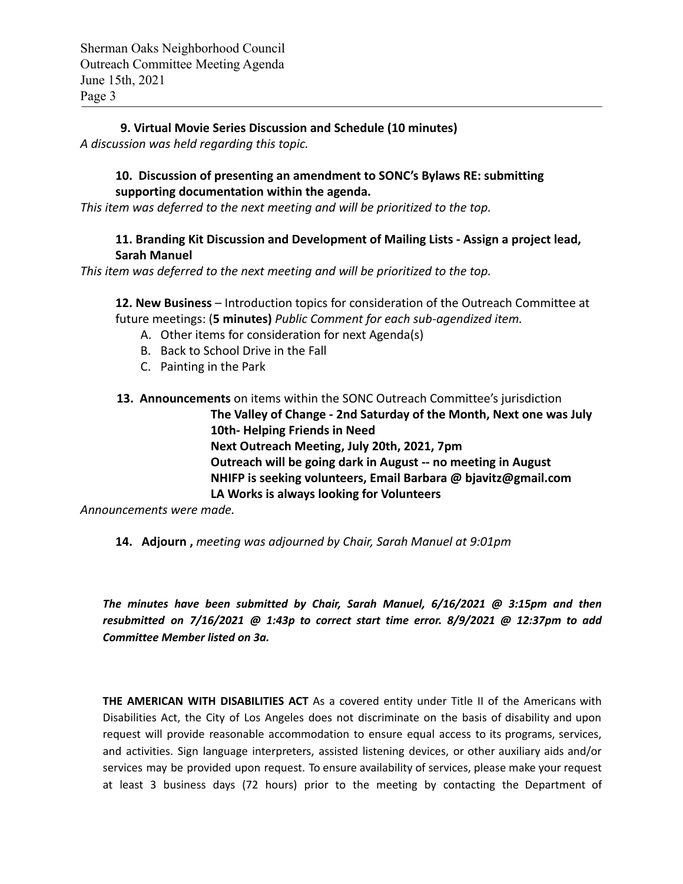**9. Virtual Movie Series Discussion and Schedule (10 minutes)** *A discussion was held regarding this topic.*

### **10. Discussion of presenting an amendment to SONC's Bylaws RE: submitting supporting documentation within the agenda.**

*This item was deferred to the next meeting and will be prioritized to the top.*

#### **11. Branding Kit Discussion and Development of Mailing Lists - Assign a project lead, Sarah Manuel**

*This item was deferred to the next meeting and will be prioritized to the top.*

**12. New Business** – Introduction topics for consideration of the Outreach Committee at future meetings: (**5 minutes)** *Public Comment for each sub-agendized item.*

- A. Other items for consideration for next Agenda(s)
- B. Back to School Drive in the Fall
- C. Painting in the Park
- **13. Announcements** on items within the SONC Outreach Committee's jurisdiction **The Valley of Change - 2nd Saturday of the Month, Next one was July 10th- Helping Friends in Need Next Outreach Meeting, July 20th, 2021, 7pm Outreach will be going dark in August -- no meeting in August NHIFP is seeking volunteers, Email Barbara @ bjavitz@gmail.com LA Works is always looking for Volunteers**

*Announcements were made.*

**14. Adjourn ,** *meeting was adjourned by Chair, Sarah Manuel at 9:01pm*

*The minutes have been submitted by Chair, Sarah Manuel, 6/16/2021 @ 3:15pm and then resubmitted on 7/16/2021 @ 1:43p to correct start time error. 8/9/2021 @ 12:37pm to add Committee Member listed on 3a.*

**THE AMERICAN WITH DISABILITIES ACT** As a covered entity under Title II of the Americans with Disabilities Act, the City of Los Angeles does not discriminate on the basis of disability and upon request will provide reasonable accommodation to ensure equal access to its programs, services, and activities. Sign language interpreters, assisted listening devices, or other auxiliary aids and/or services may be provided upon request. To ensure availability of services, please make your request at least 3 business days (72 hours) prior to the meeting by contacting the Department of